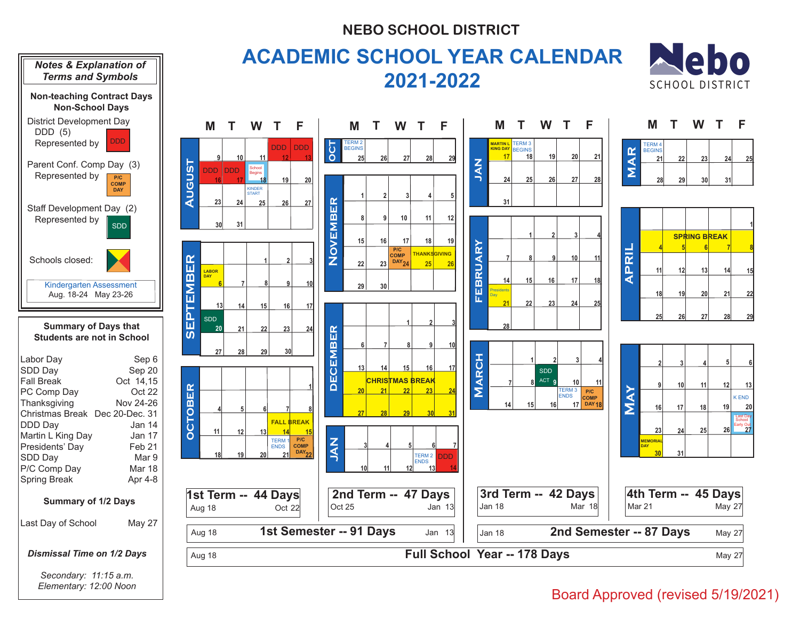## **NEBO SCHOOL DISTRICT**



## Board Approved (revised 5/19/2021)